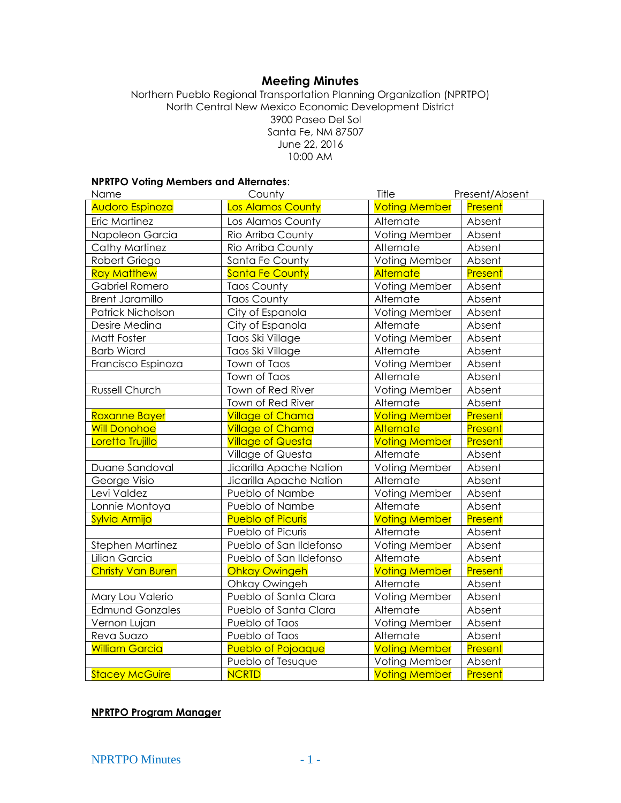# **Meeting Minutes**

Northern Pueblo Regional Transportation Planning Organization (NPRTPO) North Central New Mexico Economic Development District 3900 Paseo Del Sol Santa Fe, NM 87507 June 22, 2016 10:00 AM

#### **NPRTPO Voting Members and Alternates**:

| Name                     | County                   | Title                | Present/Absent |
|--------------------------|--------------------------|----------------------|----------------|
| <b>Audoro Espinoza</b>   | <b>Los Alamos County</b> | <b>Voting Member</b> | Present        |
| Eric Martinez            | Los Alamos County        | Alternate            | Absent         |
| Napoleon Garcia          | Rio Arriba County        | Voting Member        | Absent         |
| <b>Cathy Martinez</b>    | Rio Arriba County        | Alternate            | Absent         |
| Robert Griego            | Santa Fe County          | Voting Member        | Absent         |
| <b>Ray Matthew</b>       | <b>Santa Fe County</b>   | <b>Alternate</b>     | Present        |
| Gabriel Romero           | <b>Taos County</b>       | Voting Member        | Absent         |
| <b>Brent Jaramillo</b>   | <b>Taos County</b>       | Alternate            | Absent         |
| Patrick Nicholson        | City of Espanola         | Voting Member        | Absent         |
| Desire Medina            | City of Espanola         | Alternate            | Absent         |
| Matt Foster              | Taos Ski Village         | Voting Member        | Absent         |
| <b>Barb Wiard</b>        | Taos Ski Village         | Alternate            | Absent         |
| Francisco Espinoza       | Town of Taos             | Voting Member        | Absent         |
|                          | Town of Taos             | Alternate            | Absent         |
| Russell Church           | Town of Red River        | Voting Member        | Absent         |
|                          | Town of Red River        | Alternate            | Absent         |
| Roxanne Bayer            | <b>Village of Chama</b>  | <b>Voting Member</b> | <b>Present</b> |
| <b>Will Donohoe</b>      | <b>Village of Chama</b>  | <b>Alternate</b>     | Present        |
| Loretta Trujillo         | <b>Village of Questa</b> | <b>Voting Member</b> | Present        |
|                          | Village of Questa        | Alternate            | Absent         |
| Duane Sandoval           | Jicarilla Apache Nation  | Voting Member        | Absent         |
| George Visio             | Jicarilla Apache Nation  | Alternate            | Absent         |
| Levi Valdez              | Pueblo of Nambe          | Voting Member        | Absent         |
| Lonnie Montoya           | Pueblo of Nambe          | Alternate            | Absent         |
| Sylvia Armijo            | <b>Pueblo of Picuris</b> | <b>Voting Member</b> | Present        |
|                          | Pueblo of Picuris        | Alternate            | Absent         |
| Stephen Martinez         | Pueblo of San Ildefonso  | Voting Member        | Absent         |
| Lilian Garcia            | Pueblo of San Ildefonso  | Alternate            | Absent         |
| <b>Christy Van Buren</b> | <b>Ohkay Owingeh</b>     | <b>Voting Member</b> | Present        |
|                          | Ohkay Owingeh            | Alternate            | Absent         |
| Mary Lou Valerio         | Pueblo of Santa Clara    | Voting Member        | Absent         |
| <b>Edmund Gonzales</b>   | Pueblo of Santa Clara    | Alternate            | Absent         |
| Vernon Lujan             | Pueblo of Taos           | Voting Member        | Absent         |
| Reva Suazo               | Pueblo of Taos           | Alternate            | Absent         |
| <b>William Garcia</b>    | Pueblo of Pojoaque       | <b>Voting Member</b> | <b>Present</b> |
|                          | Pueblo of Tesuque        | Voting Member        | Absent         |
| <b>Stacey McGuire</b>    | <b>NCRTD</b>             | <b>Voting Member</b> | Present        |

#### **NPRTPO Program Manager**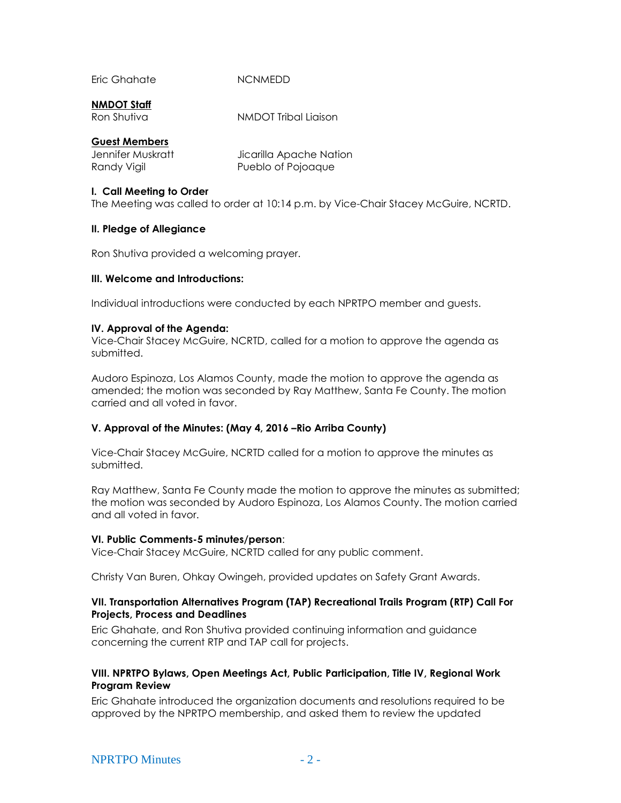Eric Ghahate NCNMEDD

#### **NMDOT Staff**

Ron Shutiva NMDOT Tribal Liaison

## **Guest Members**

| Jennifer Muskratt | Jicarilla Apache Nation |
|-------------------|-------------------------|
| Randy Vigil       | Pueblo of Pojoaque      |

## **I. Call Meeting to Order**

The Meeting was called to order at 10:14 p.m. by Vice-Chair Stacey McGuire, NCRTD.

## **II. Pledge of Allegiance**

Ron Shutiva provided a welcoming prayer.

## **III. Welcome and Introductions:**

Individual introductions were conducted by each NPRTPO member and guests.

## **IV. Approval of the Agenda:**

Vice-Chair Stacey McGuire, NCRTD, called for a motion to approve the agenda as submitted.

Audoro Espinoza, Los Alamos County, made the motion to approve the agenda as amended; the motion was seconded by Ray Matthew, Santa Fe County. The motion carried and all voted in favor.

# **V. Approval of the Minutes: (May 4, 2016 –Rio Arriba County)**

Vice-Chair Stacey McGuire, NCRTD called for a motion to approve the minutes as submitted.

Ray Matthew, Santa Fe County made the motion to approve the minutes as submitted; the motion was seconded by Audoro Espinoza, Los Alamos County. The motion carried and all voted in favor.

#### **VI. Public Comments-5 minutes/person**:

Vice-Chair Stacey McGuire, NCRTD called for any public comment.

Christy Van Buren, Ohkay Owingeh, provided updates on Safety Grant Awards.

#### **VII. Transportation Alternatives Program (TAP) Recreational Trails Program (RTP) Call For Projects, Process and Deadlines**

Eric Ghahate, and Ron Shutiva provided continuing information and guidance concerning the current RTP and TAP call for projects.

#### **VIII. NPRTPO Bylaws, Open Meetings Act, Public Participation, Title IV, Regional Work Program Review**

Eric Ghahate introduced the organization documents and resolutions required to be approved by the NPRTPO membership, and asked them to review the updated